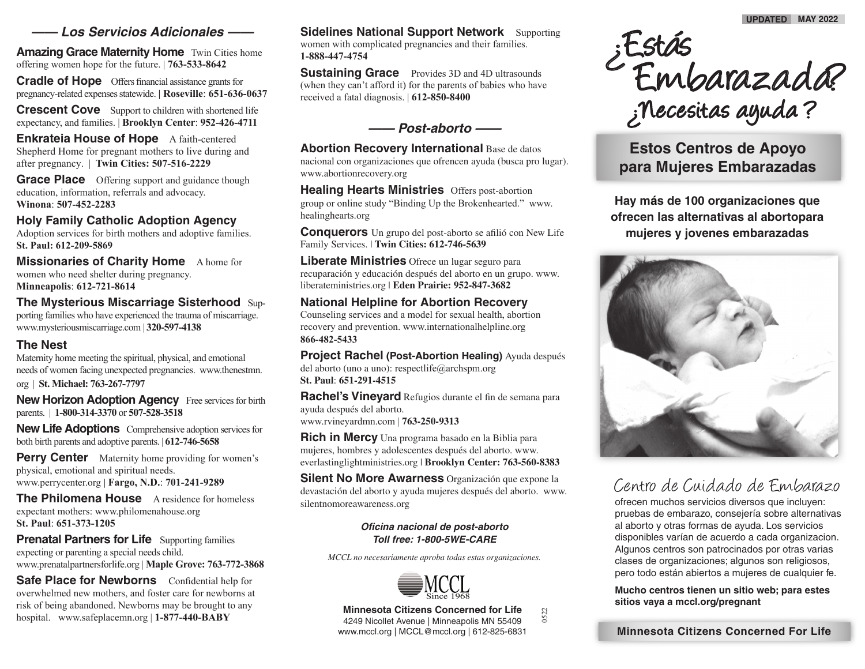## *—— Los Servicios Adicionales ——*

**Amazing Grace Maternity Home** Twin Cities home offering women hope for the future. | **763-533-8642**

**Cradle of Hope** Offers financial assistance grants for pregnancy-related expenses statewide. **| Roseville**: **651-636-0637**

**Crescent Cove** Support to children with shortened life expectancy, and families. | **Brooklyn Center**: **952-426-4711** 

**Enkrateia House of Hope** A faith-centered Shepherd Home for pregnant mothers to live during and after pregnancy. | **Twin Cities: 507-516-2229**

**Grace Place** Offering support and guidance though education, information, referrals and advocacy. **Winona**: **507-452-2283**

**Holy Family Catholic Adoption Agency**

Adoption services for birth mothers and adoptive families. **St� Paul: 612-209-5869**

**Missionaries of Charity Home** A home for women who need shelter during pregnancy. **Minneapolis**: **612-721-8614**

**The Mysterious Miscarriage Sisterhood** Supporting families who have experienced the trauma of miscarriage. www.mysteriousmiscarriage.com | **320-597-4138**

## **The Nest**

Maternity home meeting the spiritual, physical, and emotional needs of women facing unexpected pregnancies. www.thenestmn. org | **St� Michael: 763-267-7797**

**New Horizon Adoption Agency** Free services for birth parents. | **1-800-314-3370** or **507-528-3518**

**New Life Adoptions** Comprehensive adoption services for both birth parents and adoptive parents. | **612-746-5658**

**Perry Center** Maternity home providing for women's physical, emotional and spiritual needs. www.perrycenter.org **| Fargo, N�D�**: **701-241-9289**

**The Philomena House** A residence for homeless expectant mothers: www.philomenahouse.org **St� Paul**: **651-373-1205**

**Prenatal Partners for Life** Supporting families expecting or parenting a special needs child. www.prenatalpartnersforlife.org | **Maple Grove: 763-772-3868**

**Safe Place for Newborns** Confidential help for overwhelmed new mothers, and foster care for newborns at risk of being abandoned. Newborns may be brought to any hospital. www.safeplacemn.org | **1-877-440-BABY**

**Sidelines National Support Network** Supporting

women with complicated pregnancies and their families. **1-888-447-4754**

**Sustaining Grace** Provides 3D and 4D ultrasounds (when they can't afford it) for the parents of babies who have received a fatal diagnosis. | **612-850-8400**

# *—— Post-aborto ——*

**Abortion Recovery International** Base de datos nacional con organizaciones que ofrencen ayuda (busca pro lugar). www.abortionrecovery.org

**Healing Hearts Ministries** Offers post-abortion group or online study "Binding Up the Brokenhearted." www. healinghearts.org

**Conquerors** Un grupo del post-aborto se afilió con New Life Family Services. | **Twin Cities: 612-746-5639**

**Liberate Ministries** Ofrece un lugar seguro para recuparación y educación después del aborto en un grupo. www. liberateministries.org | **Eden Prairie: 952-847-3682**

## **National Helpline for Abortion Recovery**

Counseling services and a model for sexual health, abortion recovery and prevention. www.internationalhelpline.org **866-482-5433**

**Project Rachel (Post-Abortion Healing)** Ayuda después del aborto (uno a uno): respectlife@archspm.org **St. Paul**: **651-291-4515**

**Rachel's Vineyard** Refugios durante el fin de semana para ayuda después del aborto. www.rvineyardmn.com | **763-250-9313**

**Rich in Mercy** Una programa basado en la Biblia para mujeres, hombres y adolescentes después del aborto. www. everlastinglightministries.org | **Brooklyn Center: 763-560-8383**

**Silent No More Awarness** Organización que expone la devastación del aborto y ayuda mujeres después del aborto. www. silentnomoreawareness.org

### *Ofi cina nacional de post-aborto Toll free: 1-800-5WE-CARE*

*MCCL no necesariamente aproba todas estas organizaciones.*



**Minnesota Citizens Concerned for Life**

0522

4249 Nicollet Avenue | Minneapolis MN 55409 www.mccl.org | MCCL@mccl.org | 612-825-6831

ø¿Estás Embarazada? ø ¿Necesitas ayuda ?

**Estos Centros de Apoyo para Mujeres Embarazadas**

**Hay más de 100 organizaciones que ofrecen las alternativas al abortopara mujeres y jovenes embarazadas**



# Centro de Cuidado de Embarazo

ofrecen muchos servicios diversos que incluyen: pruebas de embarazo, consejería sobre alternativas al aborto y otras formas de ayuda. Los servicios disponibles varían de acuerdo a cada organizacion. Algunos centros son patrocinados por otras varias clases de organizaciones; algunos son religiosos, pero todo están abiertos a mujeres de cualquier fe.

### **Mucho centros tienen un sitio web; para estes sitios vaya a mccl.org/pregnant**